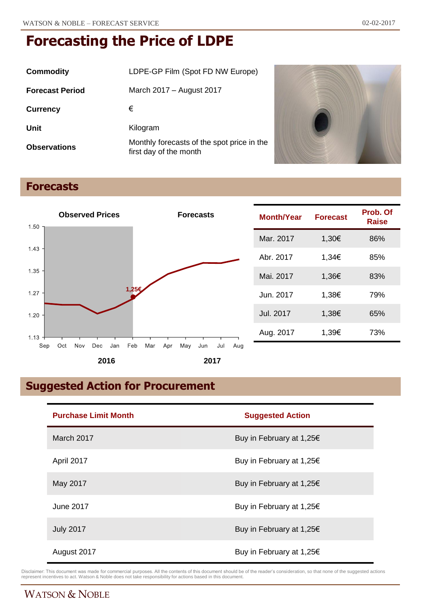| Commodity              | LDPE-GP Film (Spot FD NW Europe)                                     |  |
|------------------------|----------------------------------------------------------------------|--|
| <b>Forecast Period</b> | March 2017 – August 2017                                             |  |
| <b>Currency</b>        | €                                                                    |  |
| Unit                   | Kilogram                                                             |  |
| <b>Observations</b>    | Monthly forecasts of the spot price in the<br>first day of the month |  |



# **Forecasts**



| Month/Year | <b>Forecast</b> | Prob. Of<br>Raise |
|------------|-----------------|-------------------|
| Mar. 2017  | 1,30€           | 86%               |
| Abr. 2017  | 1.34€           | 85%               |
| Mai. 2017  | 1,36€           | 83%               |
| Jun. 2017  | 1,38€           | 79%               |
| Jul. 2017  | 1,38€           | 65%               |
| Aug. 2017  | 1,39€           | 73%               |

# **Suggested Action for Procurement**

| <b>Purchase Limit Month</b> | <b>Suggested Action</b>  |
|-----------------------------|--------------------------|
| March 2017                  | Buy in February at 1,25€ |
| April 2017                  | Buy in February at 1,25€ |
| May 2017                    | Buy in February at 1,25€ |
| June 2017                   | Buy in February at 1,25€ |
| <b>July 2017</b>            | Buy in February at 1,25€ |
| August 2017                 | Buy in February at 1,25€ |

Disclaimer: This document was made for commercial purposes. All the contents of this document should be of the reader's consideration, so that none of the suggested actions<br>represent incentives to act. Watson & Noble does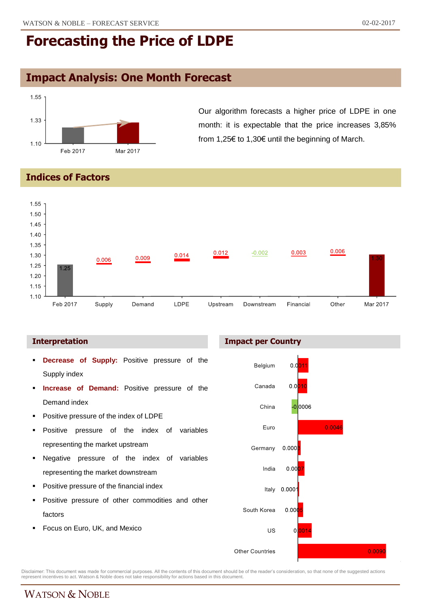## **Impact Analysis: One Month Forecast**



Our algorithm forecasts a higher price of LDPE in one month: it is expectable that the price increases 3,85% from 1,25€ to 1,30€ until the beginning of March.

### **Indices of Factors**



### **Interpretation**

- **Decrease of Supply:** Positive pressure of the Supply index
- **Increase of Demand:** Positive pressure of the Demand index
- **Positive pressure of the index of LDPE**
- Positive pressure of the index of variables representing the market upstream
- Negative pressure of the index of variables representing the market downstream
- Positive pressure of the financial index
- Positive pressure of other commodities and other factors
- Focus on Euro, UK, and Mexico





Disclaimer: This document was made for commercial purposes. All the contents of this document should be of the reader's consideration, so that none of the suggested actions<br>represent incentives to act. Watson & Noble does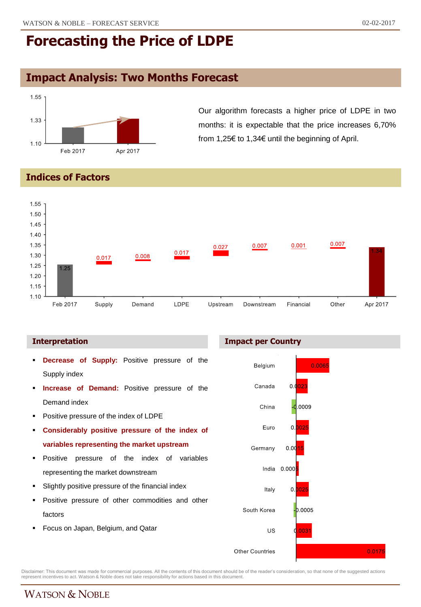# **Impact Analysis: Two Months Forecast**



Our algorithm forecasts a higher price of LDPE in two months: it is expectable that the price increases 6,70% from 1,25€ to 1,34€ until the beginning of April.

### **Indices of Factors**



- **Decrease of Supply:** Positive pressure of the Supply index
- **Increase of Demand:** Positive pressure of the Demand index
- **Positive pressure of the index of LDPE**
- **Considerably positive pressure of the index of variables representing the market upstream**
- **Positive pressure of the index of variables** representing the market downstream
- Slightly positive pressure of the financial index
- Positive pressure of other commodities and other factors
- Focus on Japan, Belgium, and Qatar





Disclaimer: This document was made for commercial purposes. All the contents of this document should be of the reader's consideration, so that none of the suggested actions<br>represent incentives to act. Watson & Noble does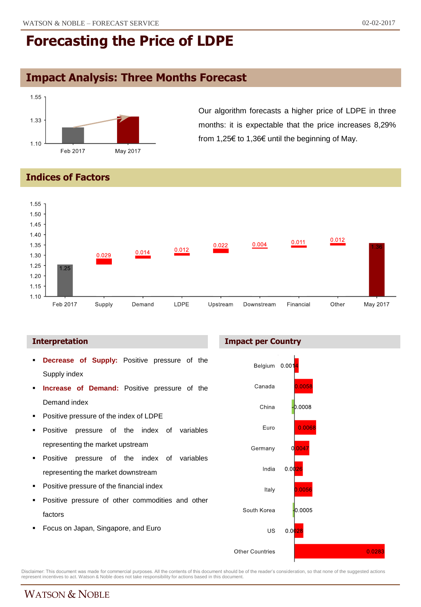# **Impact Analysis: Three Months Forecast**



Our algorithm forecasts a higher price of LDPE in three months: it is expectable that the price increases 8,29% from 1,25€ to 1,36€ until the beginning of May.

### **Indices of Factors**



- **Decrease of Supply:** Positive pressure of the Supply index
- **Increase of Demand:** Positive pressure of the Demand index
- Positive pressure of the index of LDPE
- Positive pressure of the index of variables representing the market upstream
- **Positive pressure of the index of variables** representing the market downstream
- Positive pressure of the financial index
- Positive pressure of other commodities and other factors
- Focus on Japan, Singapore, and Euro





Disclaimer: This document was made for commercial purposes. All the contents of this document should be of the reader's consideration, so that none of the suggested actions<br>represent incentives to act. Watson & Noble does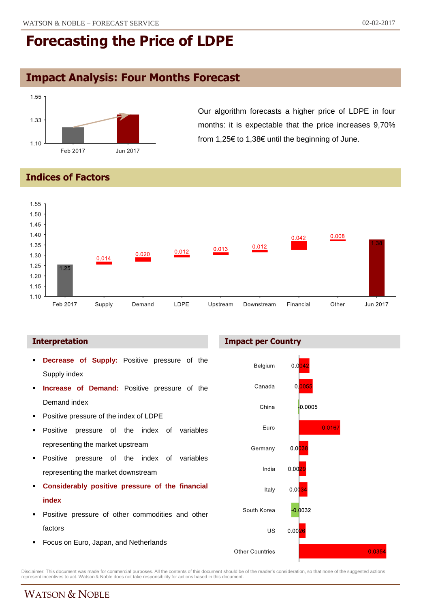# **Impact Analysis: Four Months Forecast**



Our algorithm forecasts a higher price of LDPE in four months: it is expectable that the price increases 9,70% from 1,25€ to 1,38€ until the beginning of June.

### **Indices of Factors**



- **Decrease of Supply:** Positive pressure of the Supply index
- **Increase of Demand:** Positive pressure of the Demand index
- Positive pressure of the index of LDPE
- Positive pressure of the index of variables representing the market upstream
- **Positive pressure of the index of variables** representing the market downstream
- **Considerably positive pressure of the financial index**
- **Positive pressure of other commodities and other** factors
- **Focus on Euro, Japan, and Netherlands**





Disclaimer: This document was made for commercial purposes. All the contents of this document should be of the reader's consideration, so that none of the suggested actions<br>represent incentives to act. Watson & Noble does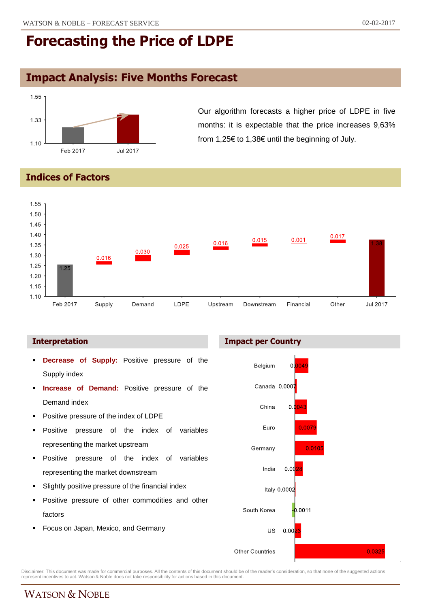# **Impact Analysis: Five Months Forecast**



Our algorithm forecasts a higher price of LDPE in five months: it is expectable that the price increases 9,63% from 1,25€ to 1,38€ until the beginning of July.

### **Indices of Factors**



- **Decrease of Supply:** Positive pressure of the Supply index
- **Increase of Demand:** Positive pressure of the Demand index
- Positive pressure of the index of LDPE
- Positive pressure of the index of variables representing the market upstream
- **Positive pressure of the index of variables** representing the market downstream
- Slightly positive pressure of the financial index
- Positive pressure of other commodities and other factors
- Focus on Japan, Mexico, and Germany





Disclaimer: This document was made for commercial purposes. All the contents of this document should be of the reader's consideration, so that none of the suggested actions<br>represent incentives to act. Watson & Noble does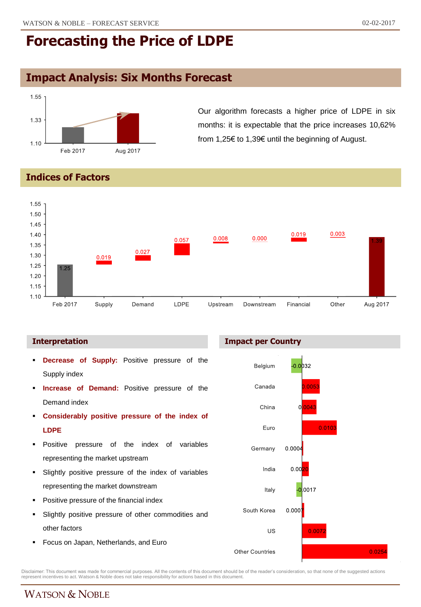## **Impact Analysis: Six Months Forecast**



Our algorithm forecasts a higher price of LDPE in six months: it is expectable that the price increases 10,62% from 1,25€ to 1,39€ until the beginning of August.

### **Indices of Factors**



### **Interpretation Impact per Country**

- **Decrease of Supply:** Positive pressure of the Supply index
- **Increase of Demand:** Positive pressure of the Demand index
- **Considerably positive pressure of the index of LDPE**
- **Positive pressure of the index of variables** representing the market upstream
- Slightly positive pressure of the index of variables representing the market downstream
- Positive pressure of the financial index
- Slightly positive pressure of other commodities and other factors
- **Focus on Japan, Netherlands, and Euro**



Disclaimer: This document was made for commercial purposes. All the contents of this document should be of the reader's consideration, so that none of the suggested actions<br>represent incentives to act. Watson & Noble does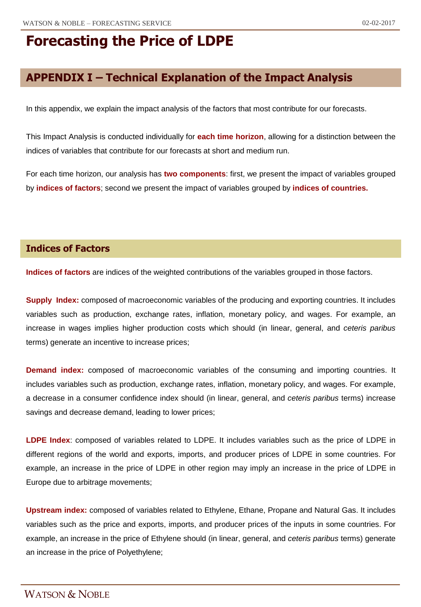# **APPENDIX I – Technical Explanation of the Impact Analysis**

In this appendix, we explain the impact analysis of the factors that most contribute for our forecasts.

This Impact Analysis is conducted individually for **each time horizon**, allowing for a distinction between the indices of variables that contribute for our forecasts at short and medium run.

For each time horizon, our analysis has **two components**: first, we present the impact of variables grouped by **indices of factors**; second we present the impact of variables grouped by **indices of countries.**

### **Indices of Factors**

**Indices of factors** are indices of the weighted contributions of the variables grouped in those factors.

**Supply Index:** composed of macroeconomic variables of the producing and exporting countries. It includes variables such as production, exchange rates, inflation, monetary policy, and wages. For example, an increase in wages implies higher production costs which should (in linear, general, and *ceteris paribus* terms) generate an incentive to increase prices;

**Demand index:** composed of macroeconomic variables of the consuming and importing countries. It includes variables such as production, exchange rates, inflation, monetary policy, and wages. For example, a decrease in a consumer confidence index should (in linear, general, and *ceteris paribus* terms) increase savings and decrease demand, leading to lower prices;

**LDPE Index**: composed of variables related to LDPE. It includes variables such as the price of LDPE in different regions of the world and exports, imports, and producer prices of LDPE in some countries. For example, an increase in the price of LDPE in other region may imply an increase in the price of LDPE in Europe due to arbitrage movements;

**Upstream index:** composed of variables related to Ethylene, Ethane, Propane and Natural Gas. It includes variables such as the price and exports, imports, and producer prices of the inputs in some countries. For example, an increase in the price of Ethylene should (in linear, general, and *ceteris paribus* terms) generate an increase in the price of Polyethylene;